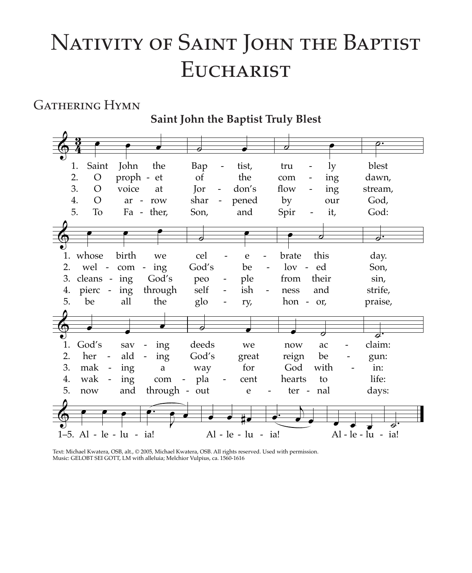# NATIVITY OF SAINT JOHN THE BAPTIST **EUCHARIST**

# **GATHERING HYMN**

Saint John the Baptist Truly Blest Saint John ly the Bap tist, blest 1. tru  $\overline{2}$ . proph - et the  $\Omega$  $\sigma$ f dawn, com ing 3.  $\circ$ voice **Tor** don's flow stream, at ing  $\overline{4}$ .  $\Omega$ ar - row shar pened by God, our 5. T<sub>o</sub> God: Fa - ther, and Son, Spir it, hirth 1. whose we cel e brate this day. 2. wel - $God's$  $\log$  - ed com ing be Son, 3. cleans ing God's peo ple from their sin. through self ish strife, 4. pierc ing ness and 5. be all the glo ry, hon -  $or$ , praise, 1. God's deeds claim: sav ing we now ac  $\overline{2}$ . her ald  $God's$ ing  $\sim$   $\overline{a}$ great reign be gun:  $\overline{\phantom{a}}$ 3. mak ing  $\mathbf{a}$ way for God with in: 4. wak ing pla hearts to life: com cent 5. and through out nal now e ter days: Al - le - lu - ia!  $Al - le - lu - ia!$ 1-5. Al - le - lu - ia!

Text: Michael Kwatera, OSB, alt., © 2005, Michael Kwatera, OSB. All rights reserved. Used with permission. Music: GELOBT SEI GOTT, LM with alleluia; Melchior Vulpius, ca. 1560-1616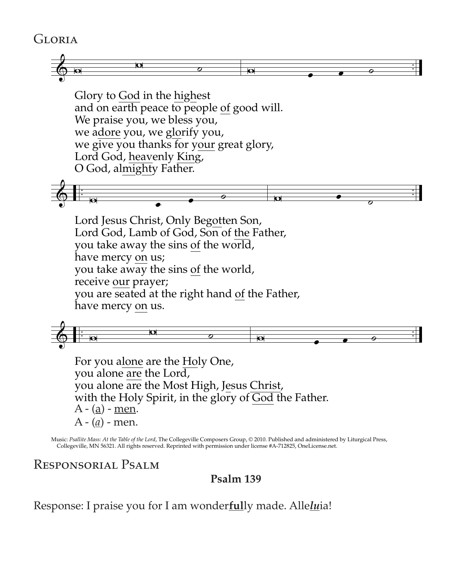## Gloria



Glory to God in the highest Glory to God in the highest Glory to <u>God</u> in the <u>nigh</u>est<br>and on earth peace to people of good will. We praise you, we bless you, we adore you, we glorify you, we give you thanks for your great glory,<br>Lord God, heavenly King, T Lord God, heavenly King, O God, almighty Father. and on early peace to people

& . . . . <sup>v</sup> <sup>œ</sup> <sup>œ</sup> ˙ <sup>v</sup> <sup>œ</sup> ˙ & . . . . <sup>v</sup> <sup>œ</sup> <sup>œ</sup> ˙ <sup>v</sup> <sup>œ</sup> ˙

Lord Jesus Christ, Only Begotten Son, Lord Jesus Christ, Only Begotten Son, Lord God, Lamb of God, Son of the Father, you take away the sins <u>of</u> the world, have mercy on us; nave mercy <u>on</u> us;<br>you take away the sins of the world, receive our prayer; you are seated at the right hand of the Father, you are seated at the right hand of the Father, have mercy on us. Lord God, Lamb of God, Son of the Father, you take away the you are seated at t



you alone are the Hord, you alone are the Eord,<br>you alone are the Most High, Jesus Christ, you alone are the Most High, Jesus Christ, with the Holy Spirit, in the glory of <u>God</u> the Father.<br>A - (a) - men.  $\overline{A}$  -  $\overline{(a)}$  - $\frac{\mu}{\sqrt{n}}$  $\frac{\mu}{\sqrt{a}}$   $\frac{\mu}{a}$ A - (<u>a</u>) - men. For you alone are the Holy One, A - (<u>a</u>) - <u>men</u>.

Collegeville, MN 56321. All rights reserved. Reprinted with permission under license #A-712825, OneLicense.net. Music: *Psallite Mass: At the Table of the Lord*, The Collegeville Composers Group, © 2010. Published and administered by Liturgical Press,

### Responsorial Psalm

## **Psalm 139**

Response: I praise you for I am wonder**ful**ly made. Alle*lu*ia!